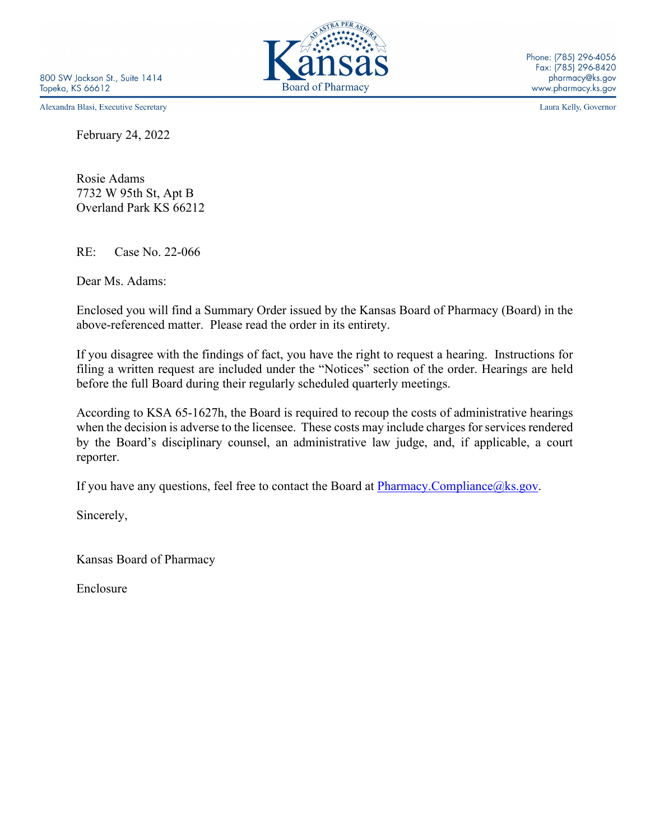Alexandra Blasi, Executive Secretary

February 24, 2022

Rosie Adams 7732 W 95th St, Apt B Overland Park KS 66212

RE: Case No. 22-066

Dear Ms. Adams:

Enclosed you will find a Summary Order issued by the Kansas Board of Pharmacy (Board) in the above-referenced matter. Please read the order in its entirety.

If you disagree with the findings of fact, you have the right to request a hearing. Instructions for filing a written request are included under the "Notices" section of the order. Hearings are held before the full Board during their regularly scheduled quarterly meetings.

According to KSA 65-1627h, the Board is required to recoup the costs of administrative hearings when the decision is adverse to the licensee. These costs may include charges for services rendered by the Board's disciplinary counsel, an administrative law judge, and, if applicable, a court reporter.

If you have any questions, feel free to contact the Board at  $\frac{Pharmacy. Compliance@ks.gov.}{}$ 

Sincerely,

Kansas Board of Pharmacy

Enclosure



Laura Kelly, Governor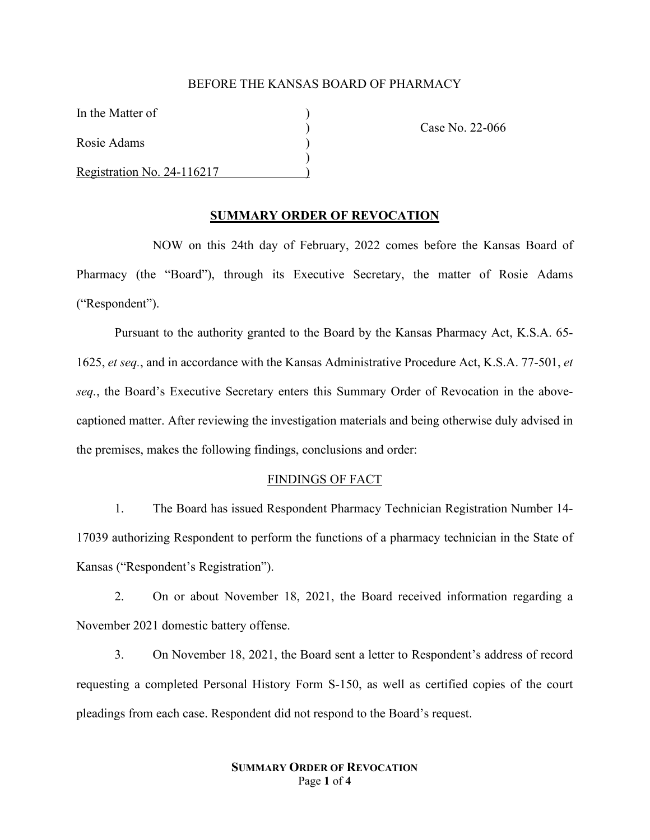# BEFORE THE KANSAS BOARD OF PHARMACY

In the Matter of

Rosie Adams )

Registration No. 24-116217 )

) Case No. 22-066

# **SUMMARY ORDER OF REVOCATION**

 $\lambda$ 

NOW on this 24th day of February, 2022 comes before the Kansas Board of Pharmacy (the "Board"), through its Executive Secretary, the matter of Rosie Adams ("Respondent").

Pursuant to the authority granted to the Board by the Kansas Pharmacy Act, K.S.A. 65- 1625, *et seq.*, and in accordance with the Kansas Administrative Procedure Act, K.S.A. 77-501, *et seq.*, the Board's Executive Secretary enters this Summary Order of Revocation in the abovecaptioned matter. After reviewing the investigation materials and being otherwise duly advised in the premises, makes the following findings, conclusions and order:

## FINDINGS OF FACT

1. The Board has issued Respondent Pharmacy Technician Registration Number 14- 17039 authorizing Respondent to perform the functions of a pharmacy technician in the State of Kansas ("Respondent's Registration").

2. On or about November 18, 2021, the Board received information regarding a November 2021 domestic battery offense.

3. On November 18, 2021, the Board sent a letter to Respondent's address of record requesting a completed Personal History Form S-150, as well as certified copies of the court pleadings from each case. Respondent did not respond to the Board's request.

# **SUMMARY ORDER OF REVOCATION** Page **1** of **4**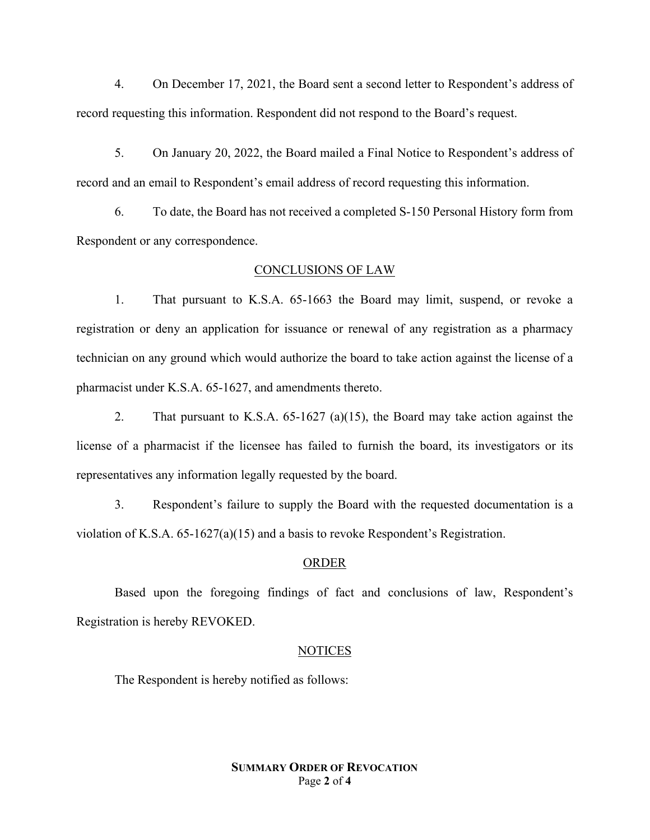4. On December 17, 2021, the Board sent a second letter to Respondent's address of record requesting this information. Respondent did not respond to the Board's request.

5. On January 20, 2022, the Board mailed a Final Notice to Respondent's address of record and an email to Respondent's email address of record requesting this information.

6. To date, the Board has not received a completed S-150 Personal History form from Respondent or any correspondence.

# CONCLUSIONS OF LAW

1. That pursuant to K.S.A. 65-1663 the Board may limit, suspend, or revoke a registration or deny an application for issuance or renewal of any registration as a pharmacy technician on any ground which would authorize the board to take action against the license of a pharmacist under K.S.A. 65-1627, and amendments thereto.

2. That pursuant to K.S.A. 65-1627 (a)(15), the Board may take action against the license of a pharmacist if the licensee has failed to furnish the board, its investigators or its representatives any information legally requested by the board.

3. Respondent's failure to supply the Board with the requested documentation is a violation of K.S.A. 65-1627(a)(15) and a basis to revoke Respondent's Registration.

### ORDER

Based upon the foregoing findings of fact and conclusions of law, Respondent's Registration is hereby REVOKED.

#### NOTICES

The Respondent is hereby notified as follows:

# **SUMMARY ORDER OF REVOCATION** Page **2** of **4**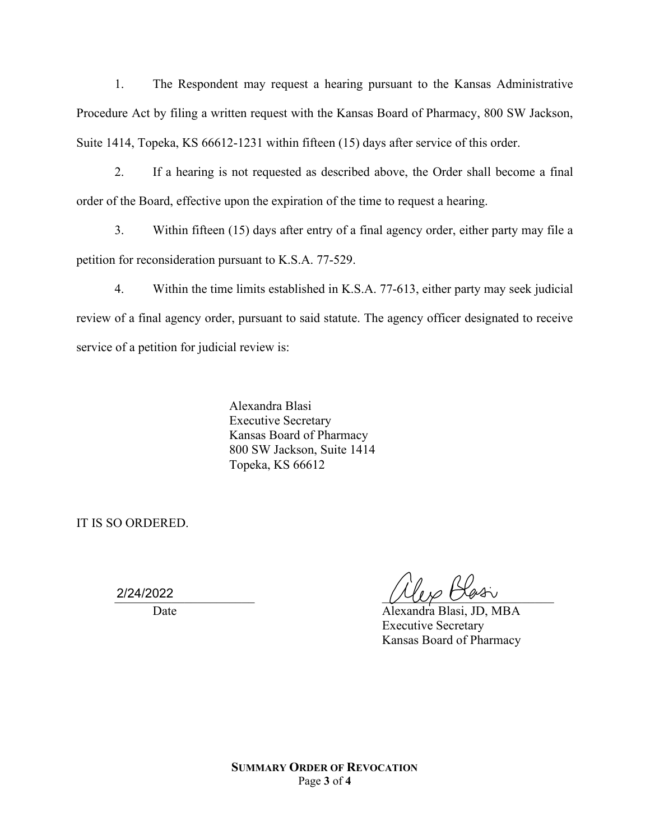1. The Respondent may request a hearing pursuant to the Kansas Administrative Procedure Act by filing a written request with the Kansas Board of Pharmacy, 800 SW Jackson, Suite 1414, Topeka, KS 66612-1231 within fifteen (15) days after service of this order.

2. If a hearing is not requested as described above, the Order shall become a final order of the Board, effective upon the expiration of the time to request a hearing.

3. Within fifteen (15) days after entry of a final agency order, either party may file a petition for reconsideration pursuant to K.S.A. 77-529.

4. Within the time limits established in K.S.A. 77-613, either party may seek judicial review of a final agency order, pursuant to said statute. The agency officer designated to receive service of a petition for judicial review is:

> Alexandra Blasi Executive Secretary Kansas Board of Pharmacy 800 SW Jackson, Suite 1414 Topeka, KS 66612

IT IS SO ORDERED.

2/24/2022

212412022 And the contract of the contract of the contract of the contract of the contract of the contract of t

Date Alexandra Blasi, JD, MBA Executive Secretary Kansas Board of Pharmacy